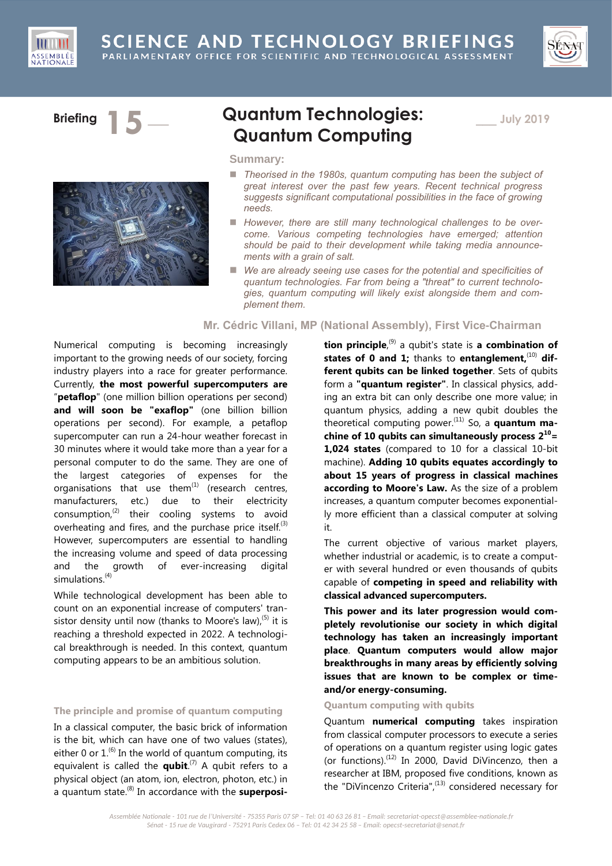





# **Briefing 15 a Quantum Technologies: Quantum Computing**

\_\_\_ **July 2019**

# **Summary:**

- Theorised in the 1980s, quantum computing has been the subject of *great interest over the past few years. Recent technical progress suggests significant computational possibilities in the face of growing needs.*
- *However, there are still many technological challenges to be overcome. Various competing technologies have emerged; attention should be paid to their development while taking media announcements with a grain of salt.*
- *We are already seeing use cases for the potential and specificities of quantum technologies. Far from being a "threat" to current technologies, quantum computing will likely exist alongside them and complement them.*

# **Mr. Cédric Villani, MP (National Assembly), First Vice-Chairman**

Numerical computing is becoming increasingly important to the growing needs of our society, forcing industry players into a race for greater performance. Currently, **the most powerful supercomputers are**  "**petaflop**" (one million billion operations per second) and will soon be "exaflop" (one billion billion operations per second). For example, a petaflop supercomputer can run a 24-hour weather forecast in 30 minutes where it would take more than a year for a personal computer to do the same. They are one of the largest categories of expenses for the organisations that use them $^{(1)}$  (research centres, manufacturers, etc.) due to their electricity consumption, $^{(2)}$  their cooling systems to avoid overheating and fires, and the purchase price itself.<sup>(3)</sup> However, supercomputers are essential to handling the increasing volume and speed of data processing and the growth of ever-increasing digital simulations. (4)

While technological development has been able to count on an exponential increase of computers' transistor density until now (thanks to Moore's law),  $(5)$  it is reaching a threshold expected in 2022. A technological breakthrough is needed. In this context, quantum computing appears to be an ambitious solution.

### **The principle and promise of quantum computing**

In a classical computer, the basic brick of information is the bit, which can have one of two values (states), either 0 or  $1^{(6)}$  In the world of quantum computing, its equivalent is called the **qubit**. (7) A qubit refers to a physical object (an atom, ion, electron, photon, etc.) in a quantum state.<sup>(8)</sup> In accordance with the **superposi-**

**tion principle**, (9) a qubit's state is **a combination of**  states of 0 and 1; thanks to entanglement,<sup>(10)</sup> dif**ferent qubits can be linked together**. Sets of qubits form a **"quantum register"**. In classical physics, adding an extra bit can only describe one more value; in quantum physics, adding a new qubit doubles the theoretical computing power.<sup>(11)</sup> So, a **quantum machine of 10 qubits can simultaneously process 2<sup>10</sup>= 1,024 states** (compared to 10 for a classical 10-bit machine). **Adding 10 qubits equates accordingly to about 15 years of progress in classical machines according to Moore's Law.** As the size of a problem increases, a quantum computer becomes exponentially more efficient than a classical computer at solving it.

The current objective of various market players, whether industrial or academic, is to create a computer with several hundred or even thousands of qubits capable of **competing in speed and reliability with classical advanced supercomputers.**

**This power and its later progression would completely revolutionise our society in which digital technology has taken an increasingly important place**. **Quantum computers would allow major breakthroughs in many areas by efficiently solving issues that are known to be complex or timeand/or energy-consuming.**

# **Quantum computing with qubits**

Quantum **numerical computing** takes inspiration from classical computer processors to execute a series of operations on a quantum register using logic gates (or functions). $(12)$  In 2000, David DiVincenzo, then a researcher at IBM, proposed five conditions, known as the "DiVincenzo Criteria",<sup>(13)</sup> considered necessary for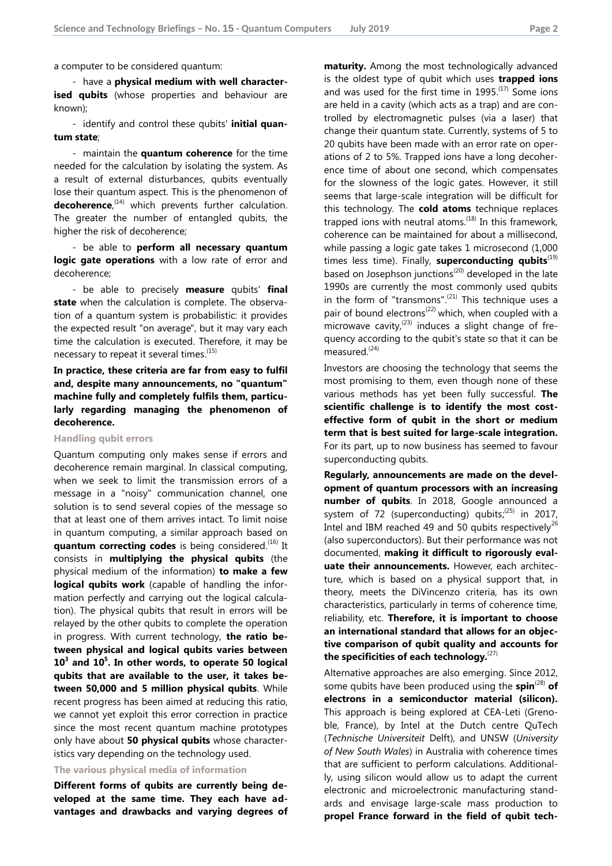a computer to be considered quantum:

- have a **physical medium with well characterised qubits** (whose properties and behaviour are known);

- identify and control these qubits' **initial quantum state**;

- maintain the **quantum coherence** for the time needed for the calculation by isolating the system. As a result of external disturbances, qubits eventually lose their quantum aspect. This is the phenomenon of **decoherence**, (14) which prevents further calculation. The greater the number of entangled qubits, the higher the risk of decoherence;

- be able to **perform all necessary quantum logic gate operations** with a low rate of error and decoherence;

- be able to precisely **measure** qubits' **final state** when the calculation is complete. The observation of a quantum system is probabilistic: it provides the expected result "on average", but it may vary each time the calculation is executed. Therefore, it may be necessary to repeat it several times.<sup>(15)</sup>

**In practice, these criteria are far from easy to fulfil and, despite many announcements, no "quantum" machine fully and completely fulfils them, particularly regarding managing the phenomenon of decoherence.**

**Handling qubit errors**

Quantum computing only makes sense if errors and decoherence remain marginal. In classical computing, when we seek to limit the transmission errors of a message in a "noisy" communication channel, one solution is to send several copies of the message so that at least one of them arrives intact. To limit noise in quantum computing, a similar approach based on **quantum correcting codes** is being considered.<sup>(16)</sup> It consists in **multiplying the physical qubits** (the physical medium of the information) **to make a few logical qubits work** (capable of handling the information perfectly and carrying out the logical calculation). The physical qubits that result in errors will be relayed by the other qubits to complete the operation in progress. With current technology, **the ratio between physical and logical qubits varies between 10<sup>3</sup> and 10<sup>5</sup> . In other words, to operate 50 logical qubits that are available to the user, it takes between 50,000 and 5 million physical qubits**. While recent progress has been aimed at reducing this ratio, we cannot yet exploit this error correction in practice since the most recent quantum machine prototypes only have about **50 physical qubits** whose characteristics vary depending on the technology used.

**The various physical media of information**

**Different forms of qubits are currently being developed at the same time. They each have advantages and drawbacks and varying degrees of**  **maturity.** Among the most technologically advanced is the oldest type of qubit which uses **trapped ions** and was used for the first time in  $1995$ .<sup>(17)</sup> Some ions are held in a cavity (which acts as a trap) and are controlled by electromagnetic pulses (via a laser) that change their quantum state. Currently, systems of 5 to 20 qubits have been made with an error rate on operations of 2 to 5%. Trapped ions have a long decoherence time of about one second, which compensates for the slowness of the logic gates. However, it still seems that large-scale integration will be difficult for this technology. The **cold atoms** technique replaces trapped ions with neutral atoms. $(18)$  In this framework, coherence can be maintained for about a millisecond, while passing a logic gate takes 1 microsecond (1,000 times less time). Finally, **superconducting qubits**<sup>(19)</sup> based on Josephson junctions<sup>(20)</sup> developed in the late 1990s are currently the most commonly used qubits in the form of "transmons". $^{(21)}$  This technique uses a pair of bound electrons<sup>(22)</sup> which, when coupled with a microwave cavity,  $(23)$  induces a slight change of frequency according to the qubit's state so that it can be measured. (24)

Investors are choosing the technology that seems the most promising to them, even though none of these various methods has yet been fully successful. **The scientific challenge is to identify the most costeffective form of qubit in the short or medium term that is best suited for large-scale integration.** For its part, up to now business has seemed to favour superconducting qubits.

**Regularly, announcements are made on the development of quantum processors with an increasing number of qubits**. In 2018, Google announced a system of 72 (superconducting) qubits; $^{(25)}$  in 2017, Intel and IBM reached 49 and 50 qubits respectively<sup>26</sup> (also superconductors). But their performance was not documented, **making it difficult to rigorously evaluate their announcements.** However, each architecture, which is based on a physical support that, in theory, meets the DiVincenzo criteria, has its own characteristics, particularly in terms of coherence time, reliability, etc. **Therefore, it is important to choose an international standard that allows for an objective comparison of qubit quality and accounts for the specificities of each technology.** (27)

Alternative approaches are also emerging. Since 2012, some qubits have been produced using the **spin**(28) **of electrons in a semiconductor material (silicon).** This approach is being explored at CEA-Leti (Grenoble, France), by Intel at the Dutch centre QuTech (*Technische Universiteit* Delft), and UNSW (*University of New South Wales*) in Australia with coherence times that are sufficient to perform calculations. Additionally, using silicon would allow us to adapt the current electronic and microelectronic manufacturing standards and envisage large-scale mass production to **propel France forward in the field of qubit tech-**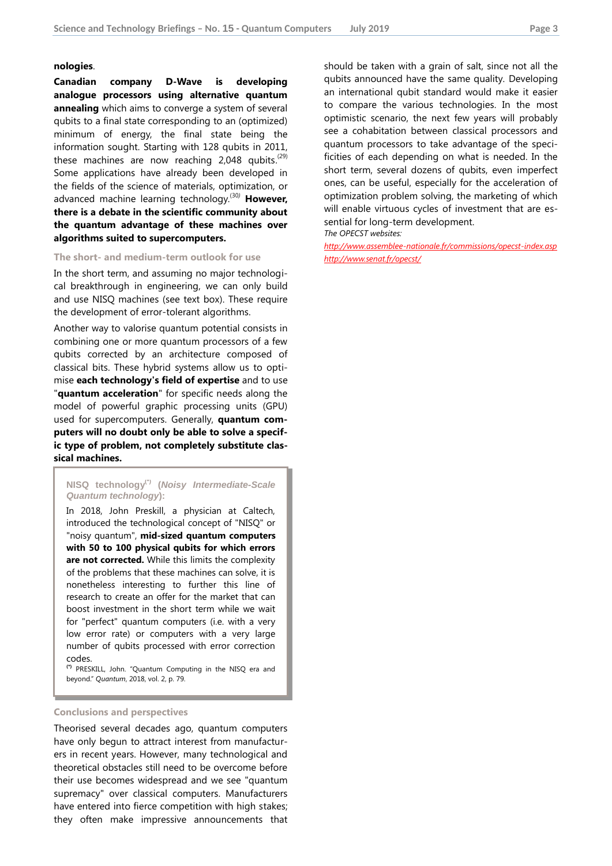#### **nologies**.

**Canadian company D-Wave is developing analogue processors using alternative quantum annealing** which aims to converge a system of several qubits to a final state corresponding to an (optimized) minimum of energy, the final state being the information sought. Starting with 128 qubits in 2011, these machines are now reaching 2,048 qubits.<sup>(29)</sup> Some applications have already been developed in the fields of the science of materials, optimization, or advanced machine learning technology.<sup>(30)</sup> **However, there is a debate in the scientific community about the quantum advantage of these machines over algorithms suited to supercomputers.**

#### **The short- and medium-term outlook for use**

In the short term, and assuming no major technological breakthrough in engineering, we can only build and use NISQ machines (see text box). These require the development of error-tolerant algorithms.

Another way to valorise quantum potential consists in combining one or more quantum processors of a few qubits corrected by an architecture composed of classical bits. These hybrid systems allow us to optimise **each technology's field of expertise** and to use "**quantum acceleration**" for specific needs along the model of powerful graphic processing units (GPU) used for supercomputers. Generally, **quantum computers will no doubt only be able to solve a specific type of problem, not completely substitute classical machines.**

#### **NISQ technology(\*) (***Noisy Intermediate-Scale Quantum technology***):**

In 2018, John Preskill, a physician at Caltech, introduced the technological concept of "NISQ" or "noisy quantum", **mid-sized quantum computers with 50 to 100 physical qubits for which errors are not corrected.** While this limits the complexity of the problems that these machines can solve, it is nonetheless interesting to further this line of research to create an offer for the market that can boost investment in the short term while we wait for "perfect" quantum computers (i.e. with a very low error rate) or computers with a very large number of qubits processed with error correction codes.

**(\*)** PRESKILL, John. "Quantum Computing in the NISQ era and beyond." *Quantum*, 2018, vol. 2, p. 79.

#### **Conclusions and perspectives**

Theorised several decades ago, quantum computers have only begun to attract interest from manufacturers in recent years. However, many technological and theoretical obstacles still need to be overcome before their use becomes widespread and we see "quantum supremacy" over classical computers. Manufacturers have entered into fierce competition with high stakes; they often make impressive announcements that should be taken with a grain of salt, since not all the qubits announced have the same quality. Developing an international qubit standard would make it easier to compare the various technologies. In the most optimistic scenario, the next few years will probably see a cohabitation between classical processors and quantum processors to take advantage of the specificities of each depending on what is needed. In the short term, several dozens of qubits, even imperfect ones, can be useful, especially for the acceleration of optimization problem solving, the marketing of which will enable virtuous cycles of investment that are essential for long-term development.

*The OPECST websites:*

*<http://www.assemblee-nationale.fr/commissions/opecst-index.asp> <http://www.senat.fr/opecst/>*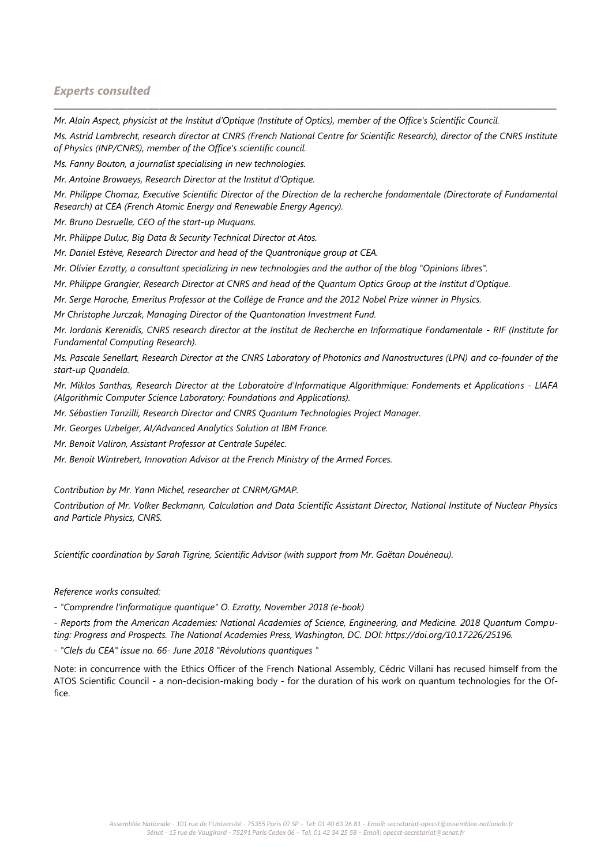# *Experts consulted*

*Mr. Alain Aspect, physicist at the Institut d'Optique (Institute of Optics), member of the Office's Scientific Council.*

*Ms. Astrid Lambrecht, research director at CNRS (French National Centre for Scientific Research), director of the CNRS Institute of Physics (INP/CNRS), member of the Office's scientific council.*

\_\_\_\_\_\_\_\_\_\_\_\_\_\_\_\_\_\_\_\_\_\_\_\_\_\_\_\_\_\_\_\_\_\_\_\_\_\_\_\_\_\_\_\_\_\_\_\_\_\_\_\_\_\_\_\_\_\_\_\_\_\_\_\_\_\_\_\_\_\_\_\_\_\_\_\_\_\_\_\_\_\_\_\_\_\_\_\_\_\_\_\_\_\_\_\_\_\_\_\_\_\_\_\_\_\_\_\_\_\_\_\_\_\_\_\_\_\_\_\_\_\_\_\_

*Ms. Fanny Bouton, a journalist specialising in new technologies.*

*Mr. Antoine Browaeys, Research Director at the Institut d'Optique.*

*Mr. Philippe Chomaz, Executive Scientific Director of the Direction de la recherche fondamentale (Directorate of Fundamental Research) at CEA (French Atomic Energy and Renewable Energy Agency).*

*Mr. Bruno Desruelle, CEO of the start-up Muquans.*

*Mr. Philippe Duluc, Big Data & Security Technical Director at Atos.*

*Mr. Daniel Estève, Research Director and head of the Quantronique group at CEA.*

*Mr. Olivier Ezratty, a consultant specializing in new technologies and the author of the blog "Opinions libres".*

*Mr. Philippe Grangier, Research Director at CNRS and head of the Quantum Optics Group at the Institut d'Optique.*

*Mr. Serge Haroche, Emeritus Professor at the Collège de France and the 2012 Nobel Prize winner in Physics.*

*Mr Christophe Jurczak, Managing Director of the Quantonation Investment Fund.*

*Mr. Iordanis Kerenidis, CNRS research director at the Institut de Recherche en Informatique Fondamentale - RIF (Institute for Fundamental Computing Research).*

*Ms. Pascale Senellart, Research Director at the CNRS Laboratory of Photonics and Nanostructures (LPN) and co-founder of the start-up Quandela.*

*Mr. Miklos Santhas, Research Director at the Laboratoire d'Informatique Algorithmique: Fondements et Applications - LIAFA (Algorithmic Computer Science Laboratory: Foundations and Applications).*

*Mr. Sébastien Tanzilli, Research Director and CNRS Quantum Technologies Project Manager.*

*Mr. Georges Uzbelger, AI/Advanced Analytics Solution at IBM France.*

*Mr. Benoit Valiron, Assistant Professor at Centrale Supélec.*

*Mr. Benoit Wintrebert, Innovation Advisor at the French Ministry of the Armed Forces.*

*Contribution by Mr. Yann Michel, researcher at CNRM/GMAP.*

*Contribution of Mr. Volker Beckmann, Calculation and Data Scientific Assistant Director, National Institute of Nuclear Physics and Particle Physics, CNRS.*

*Scientific coordination by Sarah Tigrine, Scientific Advisor (with support from Mr. Gaëtan Douéneau).*

# *Reference works consulted:*

*- "Comprendre l'informatique quantique" O. Ezratty, November 2018 (e-book)*

*- Reports from the American Academies: National Academies of Science, Engineering, and Medicine. 2018 Quantum Computing: Progress and Prospects. The National Academies Press, Washington, DC. DOI: https://doi.org/10.17226/25196.*

*- "Clefs du CEA" issue no. 66- June 2018 "Révolutions quantiques "*

Note: in concurrence with the Ethics Officer of the French National Assembly, Cédric Villani has recused himself from the ATOS Scientific Council - a non-decision-making body - for the duration of his work on quantum technologies for the Office.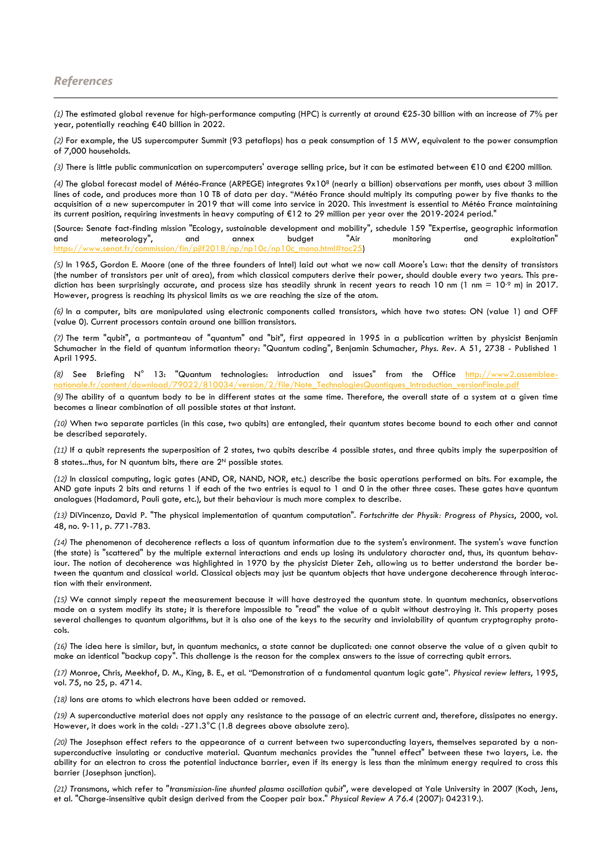# *References*

-

*(1)* The estimated global revenue for high-performance computing (HPC) is currently at around €25-30 billion with an increase of 7% per year, potentially reaching €40 billion in 2022.

*(2)* For example, the US supercomputer Summit (93 petaflops) has a peak consumption of 15 MW, equivalent to the power consumption of 7,000 households.

*(3)* There is little public communication on supercomputers' average selling price, but it can be estimated between €10 and €200 million*.*

*(4)* The global forecast model of Météo-France (ARPEGE) integrates 9x10<sup>8</sup> (nearly a billion) observations per month, uses about 3 million lines of code, and produces more than 10 TB of data per day. "Météo France should multiply its computing power by five thanks to the acquisition of a new supercomputer in 2019 that will come into service in 2020. This investment is essential to Météo France maintaining its current position, requiring investments in heavy computing of €12 to 29 million per year over the 2019-2024 period."

(Source: Senate fact-finding mission "Ecology, sustainable development and mobility", schedule 159 "Expertise, geographic information and meteorology", and annex budget "Air monitoring and exploitation" https://www.senat.fr/commission/fin/pjlf2018/np/np10c/np10c\_mono.html#toc25)

*(5)* In 1965, Gordon E. Moore (one of the three founders of Intel) laid out what we now call Moore's Law: that the density of transistors (the number of transistors per unit of area), from which classical computers derive their power, should double every two years. This prediction has been surprisingly accurate, and process size has steadily shrunk in recent years to reach 10 nm (1 nm =  $10^{-9}$  m) in 2017. However, progress is reaching its physical limits as we are reaching the size of the atom.

*(6)* In a computer, bits are manipulated using electronic components called transistors, which have two states: ON (value 1) and OFF (value 0). Current processors contain around one billion transistors.

*(7)* The term "qubit", a portmanteau of "quantum" and "bit", first appeared in 1995 in a publication written by physicist Benjamin Schumacher in the field of quantum information theory: "Quantum coding", Benjamin Schumacher, *Phys. Rev*. A 51, 2738 - Published 1 April 1995.

*(8)* See Briefing N° 13: "Quantum technologies: introduction and issues" from the Office [http://www2.assemblee](http://www2.assemblee-nationale.fr/content/download/79022/810034/version/2/file/Note_TechnologiesQuantiques_Introduction_versionFinale.pdf)[nationale.fr/content/download/79022/810034/version/2/file/Note\\_TechnologiesQuantiques\\_Introduction\\_versionFinale.pdf](http://www2.assemblee-nationale.fr/content/download/79022/810034/version/2/file/Note_TechnologiesQuantiques_Introduction_versionFinale.pdf)

*(9)* The ability of a quantum body to be in different states at the same time. Therefore, the overall state of a system at a given time becomes a linear combination of all possible states at that instant.

*(10)* When two separate particles (in this case, two qubits) are entangled, their quantum states become bound to each other and cannot be described separately.

*(11)* If a qubit represents the superposition of 2 states, two qubits describe 4 possible states, and three qubits imply the superposition of 8 states...thus, for N quantum bits, there are 2<sup>N</sup> possible states*.*

*(12)* In classical computing, logic gates (AND, OR, NAND, NOR, etc.) describe the basic operations performed on bits. For example, the AND gate inputs 2 bits and returns 1 if each of the two entries is equal to 1 and 0 in the other three cases. These gates have quantum analogues (Hadamard, Pauli gate, etc.), but their behaviour is much more complex to describe.

*(13)* DiVincenzo, David P. "The physical implementation of quantum computation". *Fortschritte der Physik: Progress of Physics*, 2000, vol. 48, no. 9-11, p. 771-783.

*(14)* The phenomenon of decoherence reflects a loss of quantum information due to the system's environment. The system's wave function (the state) is "scattered" by the multiple external interactions and ends up losing its undulatory character and, thus, its quantum behaviour. The notion of decoherence was highlighted in 1970 by the physicist Dieter Zeh, allowing us to better understand the border between the quantum and classical world. Classical objects may just be quantum objects that have undergone decoherence through interaction with their environment.

*(15)* We cannot simply repeat the measurement because it will have destroyed the quantum state*.* In quantum mechanics, observations made on a system modify its state; it is therefore impossible to "read" the value of a qubit without destroying it. This property poses several challenges to quantum algorithms, but it is also one of the keys to the security and inviolability of quantum cryptography protocols.

*(16)* The idea here is similar, but, in quantum mechanics, a state cannot be duplicated: one cannot observe the value of a given qubit to make an identical "backup copy". This challenge is the reason for the complex answers to the issue of correcting qubit errors.

*(17)* Monroe, Chris, Meekhof, D. M., King, B. E., et al. "Demonstration of a fundamental quantum logic gate". *Physical review letters*, 1995, vol. 75, no 25, p. 4714.

*(18)* Ions are atoms to which electrons have been added or removed.

*(19)* A superconductive material does not apply any resistance to the passage of an electric current and, therefore, dissipates no energy. However, it does work in the cold: -271.3°C (1.8 degrees above absolute zero).

*(20)* The Josephson effect refers to the appearance of a current between two superconducting layers, themselves separated by a nonsuperconductive insulating or conductive material. Quantum mechanics provides the "tunnel effect" between these two layers, i.e. the ability for an electron to cross the potential inductance barrier, even if its energy is less than the minimum energy required to cross this barrier (Josephson junction).

*(21) T*ransmons, which refer to "*transmission-line shunted plasma oscillation qubit*", were developed at Yale University in 2007 (Koch, Jens, et al. "Charge-insensitive qubit design derived from the Cooper pair box." *Physical Review A 76.4* (2007): 042319.).